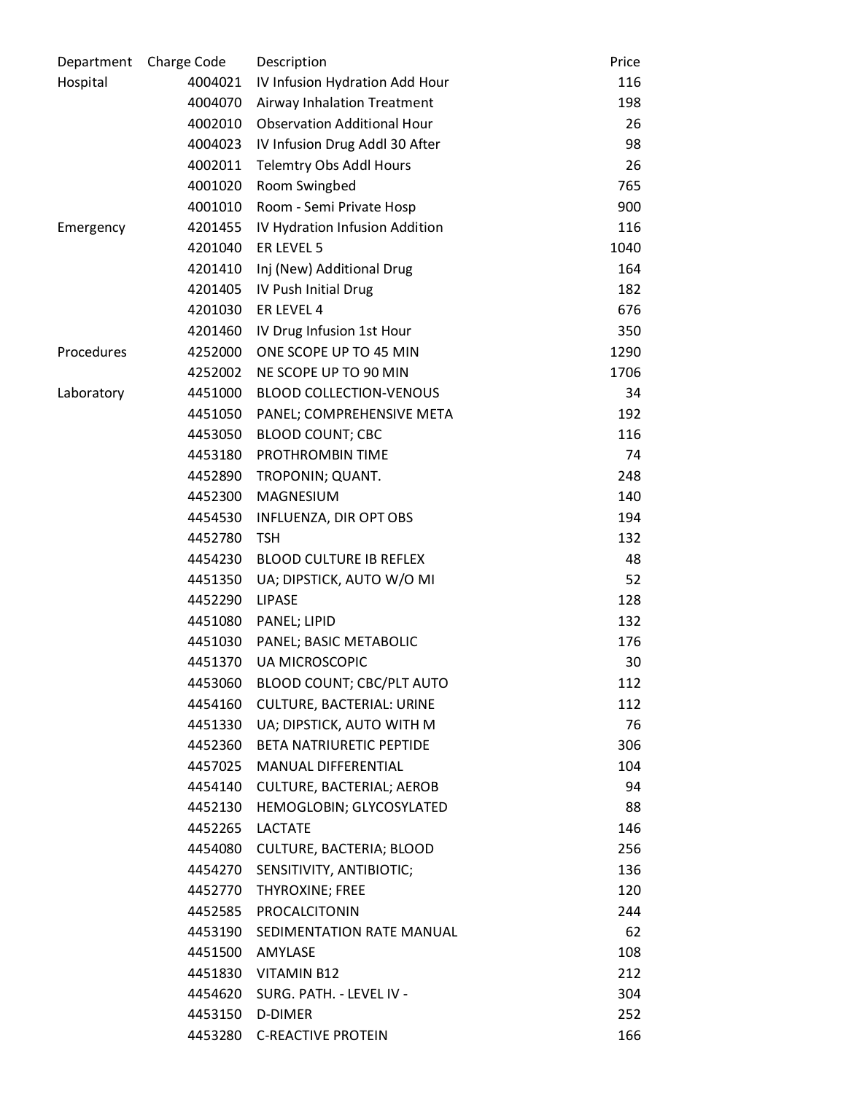| Department | Charge Code | Description                        | Price |
|------------|-------------|------------------------------------|-------|
| Hospital   | 4004021     | IV Infusion Hydration Add Hour     | 116   |
|            | 4004070     | Airway Inhalation Treatment        | 198   |
|            | 4002010     | <b>Observation Additional Hour</b> | 26    |
|            | 4004023     | IV Infusion Drug Addl 30 After     | 98    |
|            | 4002011     | Telemtry Obs Addl Hours            | 26    |
|            | 4001020     | Room Swingbed                      | 765   |
|            | 4001010     | Room - Semi Private Hosp           | 900   |
| Emergency  | 4201455     | IV Hydration Infusion Addition     | 116   |
|            | 4201040     | ER LEVEL 5                         | 1040  |
|            | 4201410     | Inj (New) Additional Drug          | 164   |
|            | 4201405     | IV Push Initial Drug               | 182   |
|            | 4201030     | ER LEVEL 4                         | 676   |
|            | 4201460     | IV Drug Infusion 1st Hour          | 350   |
| Procedures | 4252000     | ONE SCOPE UP TO 45 MIN             | 1290  |
|            | 4252002     | NE SCOPE UP TO 90 MIN              | 1706  |
| Laboratory | 4451000     | <b>BLOOD COLLECTION-VENOUS</b>     | 34    |
|            | 4451050     | PANEL; COMPREHENSIVE META          | 192   |
|            | 4453050     | <b>BLOOD COUNT; CBC</b>            | 116   |
|            | 4453180     | PROTHROMBIN TIME                   | 74    |
|            | 4452890     | TROPONIN; QUANT.                   | 248   |
|            | 4452300     | MAGNESIUM                          | 140   |
|            | 4454530     | INFLUENZA, DIR OPT OBS             | 194   |
|            | 4452780     | <b>TSH</b>                         | 132   |
|            | 4454230     | <b>BLOOD CULTURE IB REFLEX</b>     | 48    |
|            | 4451350     | UA; DIPSTICK, AUTO W/O MI          | 52    |
|            | 4452290     | <b>LIPASE</b>                      | 128   |
|            | 4451080     | PANEL; LIPID                       | 132   |
|            | 4451030     | PANEL; BASIC METABOLIC             | 176   |
|            | 4451370     | <b>UA MICROSCOPIC</b>              | 30    |
|            | 4453060     | BLOOD COUNT; CBC/PLT AUTO          | 112   |
|            | 4454160     | <b>CULTURE, BACTERIAL: URINE</b>   | 112   |
|            | 4451330     | UA; DIPSTICK, AUTO WITH M          | 76    |
|            | 4452360     | <b>BETA NATRIURETIC PEPTIDE</b>    | 306   |
|            | 4457025     | MANUAL DIFFERENTIAL                | 104   |
|            | 4454140     | CULTURE, BACTERIAL; AEROB          | 94    |
|            | 4452130     | HEMOGLOBIN; GLYCOSYLATED           | 88    |
|            | 4452265     | <b>LACTATE</b>                     | 146   |
|            | 4454080     | CULTURE, BACTERIA; BLOOD           | 256   |
|            |             | 4454270 SENSITIVITY, ANTIBIOTIC;   | 136   |
|            | 4452770     | THYROXINE; FREE                    | 120   |
|            | 4452585     | PROCALCITONIN                      | 244   |
|            | 4453190     | SEDIMENTATION RATE MANUAL          | 62    |
|            |             | 4451500 AMYLASE                    | 108   |
|            |             | 4451830 VITAMIN B12                | 212   |
|            |             | 4454620 SURG. PATH. - LEVEL IV -   | 304   |
|            |             | 4453150 D-DIMER                    | 252   |
|            |             | 4453280 C-REACTIVE PROTEIN         | 166   |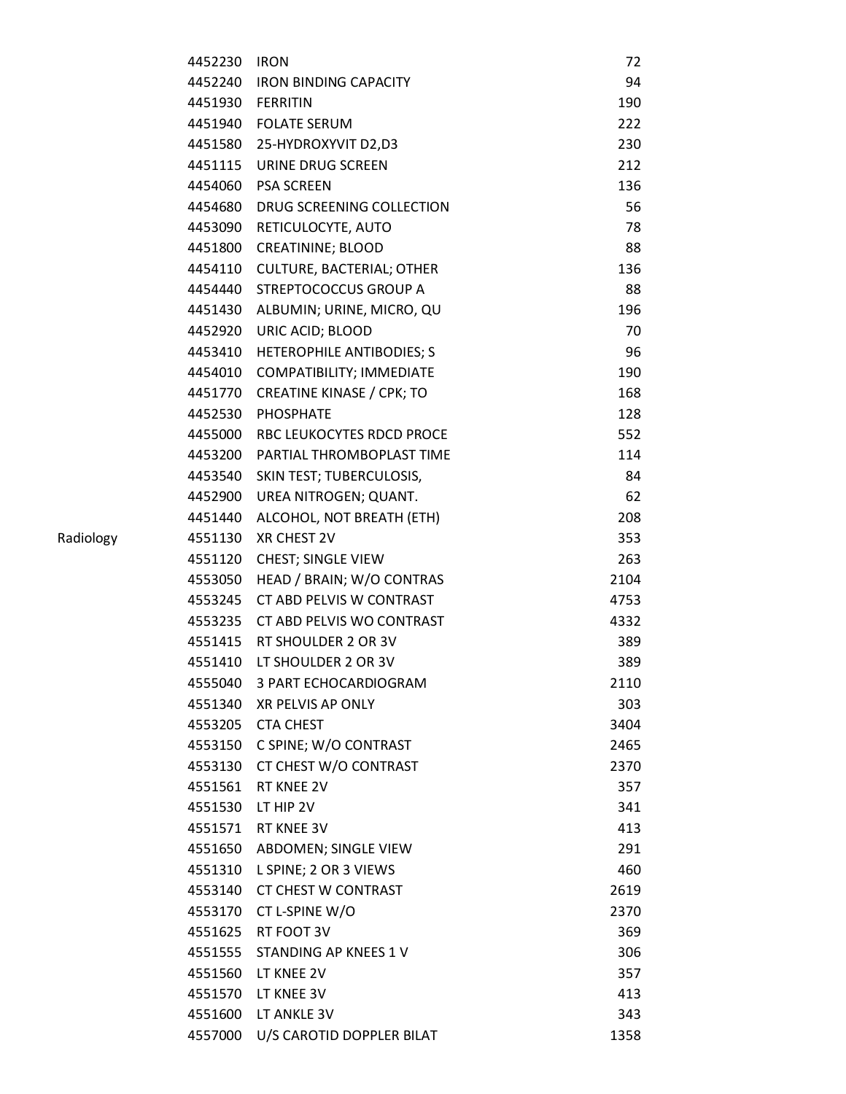| 4452230 | <b>IRON</b>                      | 72   |
|---------|----------------------------------|------|
|         | 4452240 IRON BINDING CAPACITY    | 94   |
|         | 4451930 FERRITIN                 | 190  |
|         | 4451940 FOLATE SERUM             | 222  |
|         | 4451580 25-HYDROXYVIT D2,D3      | 230  |
|         | 4451115 URINE DRUG SCREEN        | 212  |
|         | 4454060 PSA SCREEN               | 136  |
| 4454680 | DRUG SCREENING COLLECTION        | 56   |
| 4453090 | RETICULOCYTE, AUTO               | 78   |
| 4451800 | <b>CREATININE; BLOOD</b>         | 88   |
| 4454110 | <b>CULTURE, BACTERIAL; OTHER</b> | 136  |
| 4454440 | STREPTOCOCCUS GROUP A            | 88   |
| 4451430 | ALBUMIN; URINE, MICRO, QU        | 196  |
| 4452920 | URIC ACID; BLOOD                 | 70   |
| 4453410 | <b>HETEROPHILE ANTIBODIES; S</b> | 96   |
| 4454010 | COMPATIBILITY; IMMEDIATE         | 190  |
| 4451770 | <b>CREATINE KINASE / CPK; TO</b> | 168  |
| 4452530 | <b>PHOSPHATE</b>                 | 128  |
| 4455000 | <b>RBC LEUKOCYTES RDCD PROCE</b> | 552  |
| 4453200 | PARTIAL THROMBOPLAST TIME        | 114  |
| 4453540 | SKIN TEST; TUBERCULOSIS,         | 84   |
| 4452900 | UREA NITROGEN; QUANT.            | 62   |
| 4451440 | ALCOHOL, NOT BREATH (ETH)        | 208  |
| 4551130 | XR CHEST 2V                      | 353  |
| 4551120 | CHEST; SINGLE VIEW               | 263  |
| 4553050 | HEAD / BRAIN; W/O CONTRAS        | 2104 |
| 4553245 | CT ABD PELVIS W CONTRAST         | 4753 |
| 4553235 | CT ABD PELVIS WO CONTRAST        | 4332 |
|         | 4551415 RT SHOULDER 2 OR 3V      | 389  |
| 4551410 | LT SHOULDER 2 OR 3V              | 389  |
| 4555040 | 3 PART ECHOCARDIOGRAM            | 2110 |
|         | 4551340 XR PELVIS AP ONLY        | 303  |
|         | 4553205 CTA CHEST                | 3404 |
| 4553150 | C SPINE; W/O CONTRAST            | 2465 |
| 4553130 | CT CHEST W/O CONTRAST            | 2370 |
| 4551561 | RT KNEE 2V                       | 357  |
|         | 4551530 LT HIP 2V                | 341  |
| 4551571 | RT KNEE 3V                       | 413  |
| 4551650 | ABDOMEN; SINGLE VIEW             | 291  |
| 4551310 | L SPINE; 2 OR 3 VIEWS            | 460  |
|         | 4553140 CT CHEST W CONTRAST      | 2619 |
| 4553170 | CT L-SPINE W/O                   | 2370 |
|         | 4551625 RT FOOT 3V               | 369  |
| 4551555 | STANDING AP KNEES 1 V            | 306  |
|         | 4551560 LT KNEE 2V               | 357  |
| 4551570 | LT KNEE 3V                       | 413  |
|         | 4551600 LT ANKLE 3V              | 343  |
| 4557000 | U/S CAROTID DOPPLER BILAT        | 1358 |
|         |                                  |      |

Radiology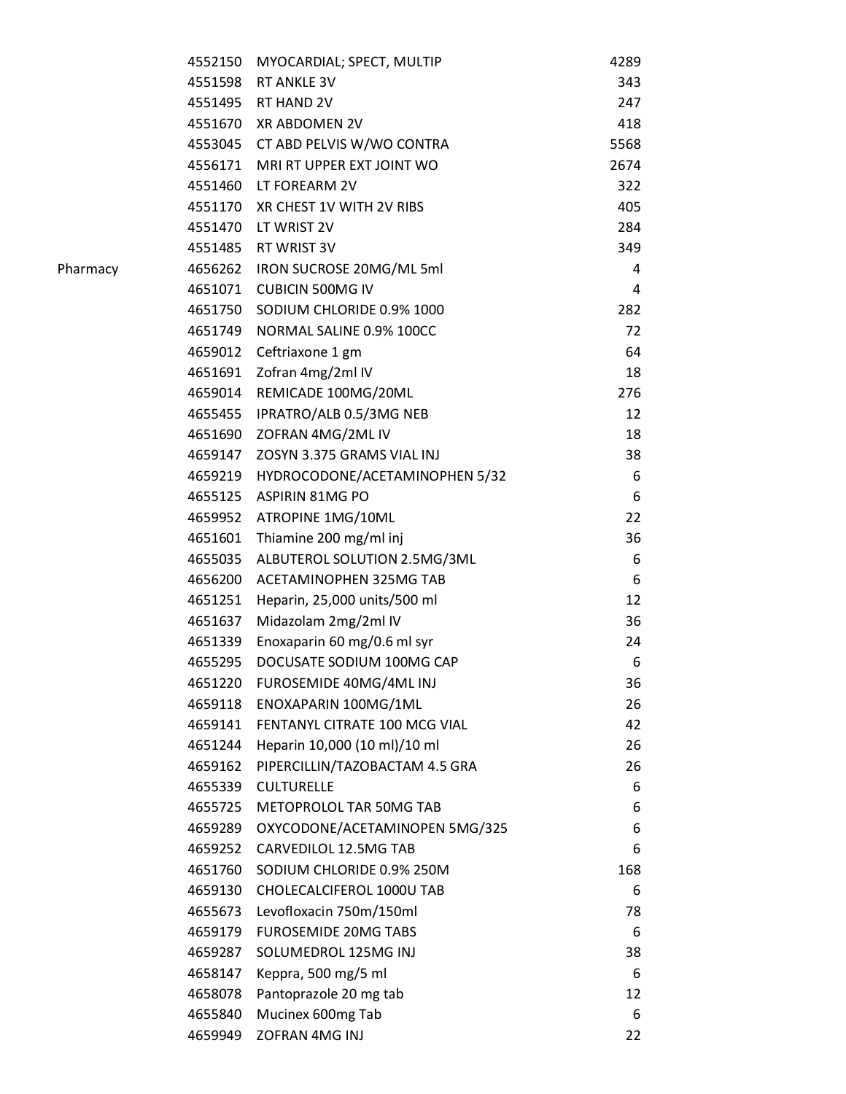| 4552150 | MYOCARDIAL; SPECT, MULTIP         | 4289 |
|---------|-----------------------------------|------|
| 4551598 | RT ANKLE 3V                       | 343  |
|         | 4551495 RT HAND 2V                | 247  |
| 4551670 | XR ABDOMEN 2V                     | 418  |
|         | 4553045 CT ABD PELVIS W/WO CONTRA | 5568 |
| 4556171 | MRI RT UPPER EXT JOINT WO         | 2674 |
|         | 4551460 LT FOREARM 2V             | 322  |
| 4551170 | XR CHEST 1V WITH 2V RIBS          | 405  |
| 4551470 | LT WRIST 2V                       | 284  |
|         | 4551485 RT WRIST 3V               | 349  |
| 4656262 | IRON SUCROSE 20MG/ML 5ml          | 4    |
| 4651071 | <b>CUBICIN 500MG IV</b>           | 4    |
| 4651750 | SODIUM CHLORIDE 0.9% 1000         | 282  |
| 4651749 | NORMAL SALINE 0.9% 100CC          | 72   |
| 4659012 | Ceftriaxone 1 gm                  | 64   |
| 4651691 | Zofran 4mg/2ml IV                 | 18   |
| 4659014 | REMICADE 100MG/20ML               | 276  |
| 4655455 | IPRATRO/ALB 0.5/3MG NEB           | 12   |
| 4651690 | ZOFRAN 4MG/2ML IV                 | 18   |
| 4659147 | ZOSYN 3.375 GRAMS VIAL INJ        | 38   |
| 4659219 | HYDROCODONE/ACETAMINOPHEN 5/32    | 6    |
| 4655125 | <b>ASPIRIN 81MG PO</b>            | 6    |
| 4659952 | ATROPINE 1MG/10ML                 | 22   |
| 4651601 | Thiamine 200 mg/ml inj            | 36   |
| 4655035 | ALBUTEROL SOLUTION 2.5MG/3ML      | 6    |
| 4656200 | ACETAMINOPHEN 325MG TAB           | 6    |
| 4651251 | Heparin, 25,000 units/500 ml      | 12   |
| 4651637 | Midazolam 2mg/2ml IV              | 36   |
| 4651339 | Enoxaparin 60 mg/0.6 ml syr       | 24   |
| 4655295 | DOCUSATE SODIUM 100MG CAP         | 6    |
| 4651220 | FUROSEMIDE 40MG/4ML INJ           | 36   |
| 4659118 | ENOXAPARIN 100MG/1ML              | 26   |
| 4659141 | FENTANYL CITRATE 100 MCG VIAL     | 42   |
| 4651244 | Heparin 10,000 (10 ml)/10 ml      | 26   |
| 4659162 | PIPERCILLIN/TAZOBACTAM 4.5 GRA    | 26   |
| 4655339 | <b>CULTURELLE</b>                 | 6    |
| 4655725 | METOPROLOL TAR 50MG TAB           | 6    |
| 4659289 | OXYCODONE/ACETAMINOPEN 5MG/325    | 6    |
| 4659252 | CARVEDILOL 12.5MG TAB             | 6    |
| 4651760 | SODIUM CHLORIDE 0.9% 250M         | 168  |
| 4659130 | CHOLECALCIFEROL 1000U TAB         | 6    |
| 4655673 | Levofloxacin 750m/150ml           | 78   |
| 4659179 | <b>FUROSEMIDE 20MG TABS</b>       | 6    |
| 4659287 | SOLUMEDROL 125MG INJ              | 38   |
| 4658147 | Keppra, 500 mg/5 ml               | 6    |
| 4658078 | Pantoprazole 20 mg tab            | 12   |
| 4655840 | Mucinex 600mg Tab                 | 6    |
| 4659949 | ZOFRAN 4MG INJ                    | 22   |

Pharmacy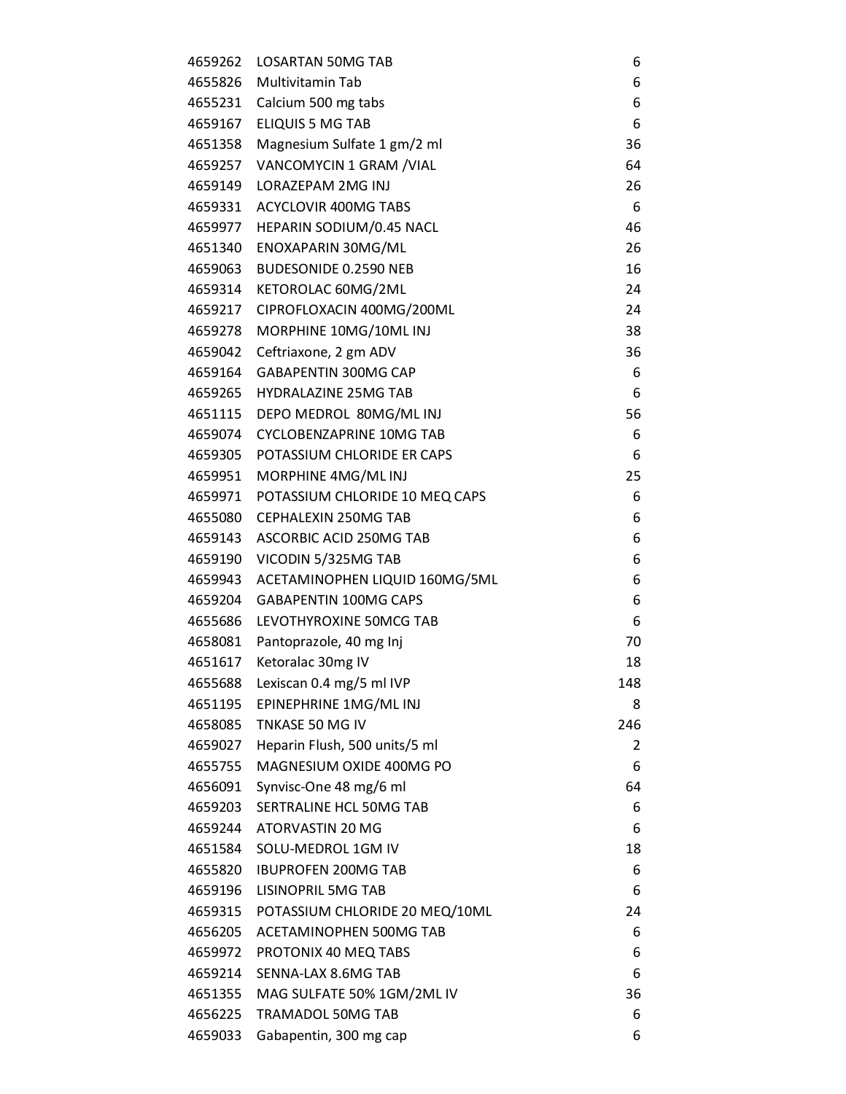| 4659262 | <b>LOSARTAN 50MG TAB</b>       | 6   |
|---------|--------------------------------|-----|
| 4655826 | Multivitamin Tab               | 6   |
|         | 4655231 Calcium 500 mg tabs    | 6   |
| 4659167 | <b>ELIQUIS 5 MG TAB</b>        | 6   |
| 4651358 | Magnesium Sulfate 1 gm/2 ml    | 36  |
| 4659257 | VANCOMYCIN 1 GRAM / VIAL       | 64  |
| 4659149 | LORAZEPAM 2MG INJ              | 26  |
| 4659331 | ACYCLOVIR 400MG TABS           | 6   |
| 4659977 | HEPARIN SODIUM/0.45 NACL       | 46  |
| 4651340 | ENOXAPARIN 30MG/ML             | 26  |
| 4659063 | <b>BUDESONIDE 0.2590 NEB</b>   | 16  |
| 4659314 | KETOROLAC 60MG/2ML             | 24  |
| 4659217 | CIPROFLOXACIN 400MG/200ML      | 24  |
| 4659278 | MORPHINE 10MG/10ML INJ         | 38  |
| 4659042 | Ceftriaxone, 2 gm ADV          | 36  |
| 4659164 | <b>GABAPENTIN 300MG CAP</b>    | 6   |
| 4659265 | <b>HYDRALAZINE 25MG TAB</b>    | 6   |
| 4651115 | DEPO MEDROL 80MG/ML INJ        | 56  |
| 4659074 | CYCLOBENZAPRINE 10MG TAB       | 6   |
| 4659305 | POTASSIUM CHLORIDE ER CAPS     | 6   |
| 4659951 | MORPHINE 4MG/MLINJ             | 25  |
| 4659971 | POTASSIUM CHLORIDE 10 MEQ CAPS | 6   |
| 4655080 | CEPHALEXIN 250MG TAB           | 6   |
| 4659143 | ASCORBIC ACID 250MG TAB        | 6   |
| 4659190 | VICODIN 5/325MG TAB            | 6   |
| 4659943 | ACETAMINOPHEN LIQUID 160MG/5ML | 6   |
| 4659204 | <b>GABAPENTIN 100MG CAPS</b>   | 6   |
| 4655686 | LEVOTHYROXINE 50MCG TAB        | 6   |
| 4658081 | Pantoprazole, 40 mg Inj        | 70  |
| 4651617 | Ketoralac 30mg IV              | 18  |
| 4655688 | Lexiscan 0.4 mg/5 ml IVP       | 148 |
| 4651195 | EPINEPHRINE 1MG/ML INJ         | 8   |
| 4658085 | TNKASE 50 MG IV                | 246 |
| 4659027 | Heparin Flush, 500 units/5 ml  | 2   |
| 4655755 | MAGNESIUM OXIDE 400MG PO       | 6   |
| 4656091 | Synvisc-One 48 mg/6 ml         | 64  |
| 4659203 | SERTRALINE HCL 50MG TAB        | 6   |
| 4659244 | ATORVASTIN 20 MG               | 6   |
| 4651584 | SOLU-MEDROL 1GM IV             | 18  |
| 4655820 | <b>IBUPROFEN 200MG TAB</b>     | 6   |
| 4659196 | LISINOPRIL 5MG TAB             | 6   |
| 4659315 | POTASSIUM CHLORIDE 20 MEQ/10ML | 24  |
| 4656205 | ACETAMINOPHEN 500MG TAB        | 6   |
| 4659972 | PROTONIX 40 MEQ TABS           | 6   |
| 4659214 | SENNA-LAX 8.6MG TAB            | 6   |
| 4651355 | MAG SULFATE 50% 1GM/2ML IV     | 36  |
| 4656225 | <b>TRAMADOL 50MG TAB</b>       | 6   |
| 4659033 | Gabapentin, 300 mg cap         | 6   |
|         |                                |     |